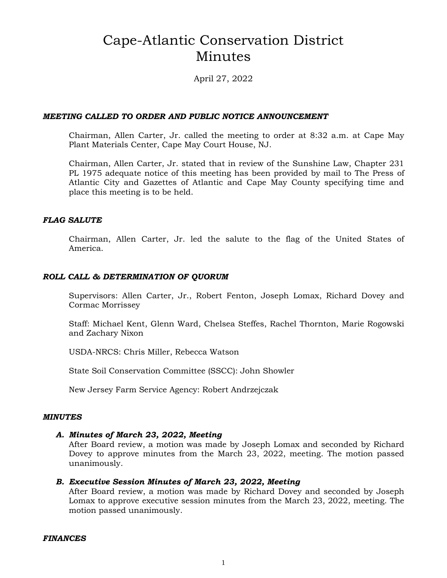# Cape-Atlantic Conservation District Minutes

April 27, 2022

#### *MEETING CALLED TO ORDER AND PUBLIC NOTICE ANNOUNCEMENT*

Chairman, Allen Carter, Jr. called the meeting to order at 8:32 a.m. at Cape May Plant Materials Center, Cape May Court House, NJ.

Chairman, Allen Carter, Jr. stated that in review of the Sunshine Law, Chapter 231 PL 1975 adequate notice of this meeting has been provided by mail to The Press of Atlantic City and Gazettes of Atlantic and Cape May County specifying time and place this meeting is to be held.

#### *FLAG SALUTE*

Chairman, Allen Carter, Jr. led the salute to the flag of the United States of America.

#### *ROLL CALL & DETERMINATION OF QUORUM*

Supervisors: Allen Carter, Jr., Robert Fenton, Joseph Lomax, Richard Dovey and Cormac Morrissey

Staff: Michael Kent, Glenn Ward, Chelsea Steffes, Rachel Thornton, Marie Rogowski and Zachary Nixon

USDA-NRCS: Chris Miller, Rebecca Watson

State Soil Conservation Committee (SSCC): John Showler

New Jersey Farm Service Agency: Robert Andrzejczak

#### *MINUTES*

#### *A. Minutes of March 23, 2022, Meeting*

After Board review, a motion was made by Joseph Lomax and seconded by Richard Dovey to approve minutes from the March 23, 2022, meeting. The motion passed unanimously.

#### *B. Executive Session Minutes of March 23, 2022, Meeting*

After Board review, a motion was made by Richard Dovey and seconded by Joseph Lomax to approve executive session minutes from the March 23, 2022, meeting. The motion passed unanimously.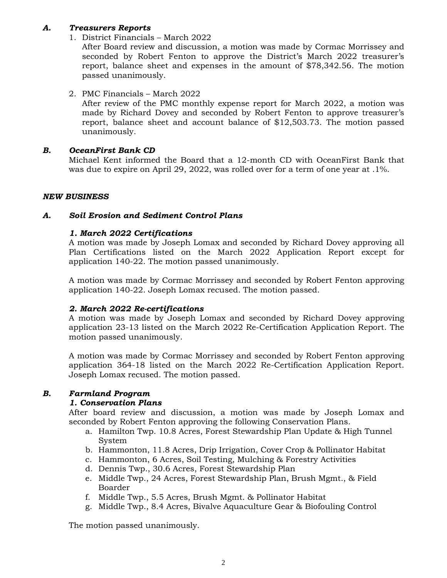# *A. Treasurers Reports*

1. District Financials – March 2022

After Board review and discussion, a motion was made by Cormac Morrissey and seconded by Robert Fenton to approve the District's March 2022 treasurer's report, balance sheet and expenses in the amount of \$78,342.56. The motion passed unanimously.

2. PMC Financials – March 2022

After review of the PMC monthly expense report for March 2022, a motion was made by Richard Dovey and seconded by Robert Fenton to approve treasurer's report, balance sheet and account balance of \$12,503.73. The motion passed unanimously.

# *B. OceanFirst Bank CD*

Michael Kent informed the Board that a 12-month CD with OceanFirst Bank that was due to expire on April 29, 2022, was rolled over for a term of one year at .1%.

#### *NEW BUSINESS*

#### *A. Soil Erosion and Sediment Control Plans*

#### *1. March 2022 Certifications*

A motion was made by Joseph Lomax and seconded by Richard Dovey approving all Plan Certifications listed on the March 2022 Application Report except for application 140-22. The motion passed unanimously.

A motion was made by Cormac Morrissey and seconded by Robert Fenton approving application 140-22. Joseph Lomax recused. The motion passed.

#### *2. March 2022 Re-certifications*

A motion was made by Joseph Lomax and seconded by Richard Dovey approving application 23-13 listed on the March 2022 Re-Certification Application Report. The motion passed unanimously.

A motion was made by Cormac Morrissey and seconded by Robert Fenton approving application 364-18 listed on the March 2022 Re-Certification Application Report. Joseph Lomax recused. The motion passed.

# *B. Farmland Program*

#### *1. Conservation Plans*

After board review and discussion, a motion was made by Joseph Lomax and seconded by Robert Fenton approving the following Conservation Plans.

- a. Hamilton Twp. 10.8 Acres, Forest Stewardship Plan Update & High Tunnel System
- b. Hammonton, 11.8 Acres, Drip Irrigation, Cover Crop & Pollinator Habitat
- c. Hammonton, 6 Acres, Soil Testing, Mulching & Forestry Activities
- d. Dennis Twp., 30.6 Acres, Forest Stewardship Plan
- e. Middle Twp., 24 Acres, Forest Stewardship Plan, Brush Mgmt., & Field Boarder
- f. Middle Twp., 5.5 Acres, Brush Mgmt. & Pollinator Habitat
- g. Middle Twp., 8.4 Acres, Bivalve Aquaculture Gear & Biofouling Control

The motion passed unanimously.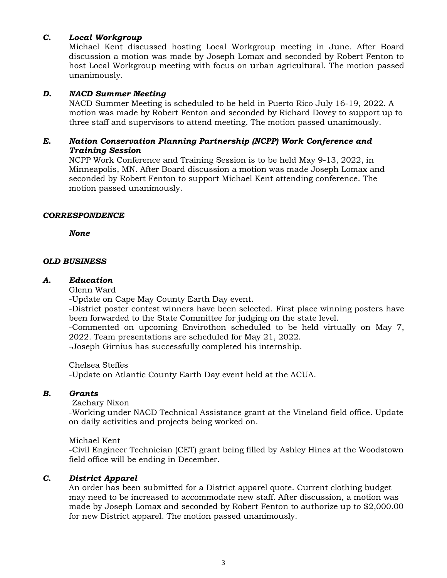#### *C. Local Workgroup*

Michael Kent discussed hosting Local Workgroup meeting in June. After Board discussion a motion was made by Joseph Lomax and seconded by Robert Fenton to host Local Workgroup meeting with focus on urban agricultural. The motion passed unanimously.

#### *D. NACD Summer Meeting*

NACD Summer Meeting is scheduled to be held in Puerto Rico July 16-19, 2022. A motion was made by Robert Fenton and seconded by Richard Dovey to support up to three staff and supervisors to attend meeting. The motion passed unanimously.

## *E. Nation Conservation Planning Partnership (NCPP) Work Conference and Training Session*

NCPP Work Conference and Training Session is to be held May 9-13, 2022, in Minneapolis, MN. After Board discussion a motion was made Joseph Lomax and seconded by Robert Fenton to support Michael Kent attending conference. The motion passed unanimously.

#### *CORRESPONDENCE*

*None*

#### *OLD BUSINESS*

#### *A. Education*

Glenn Ward

-Update on Cape May County Earth Day event.

-District poster contest winners have been selected. First place winning posters have been forwarded to the State Committee for judging on the state level.

-Commented on upcoming Envirothon scheduled to be held virtually on May 7, 2022. Team presentations are scheduled for May 21, 2022.

-Joseph Girnius has successfully completed his internship.

Chelsea Steffes -Update on Atlantic County Earth Day event held at the ACUA.

# *B. Grants*

Zachary Nixon

-Working under NACD Technical Assistance grant at the Vineland field office. Update on daily activities and projects being worked on.

Michael Kent

-Civil Engineer Technician (CET) grant being filled by Ashley Hines at the Woodstown field office will be ending in December.

# *C. District Apparel*

An order has been submitted for a District apparel quote. Current clothing budget may need to be increased to accommodate new staff. After discussion, a motion was made by Joseph Lomax and seconded by Robert Fenton to authorize up to \$2,000.00 for new District apparel. The motion passed unanimously.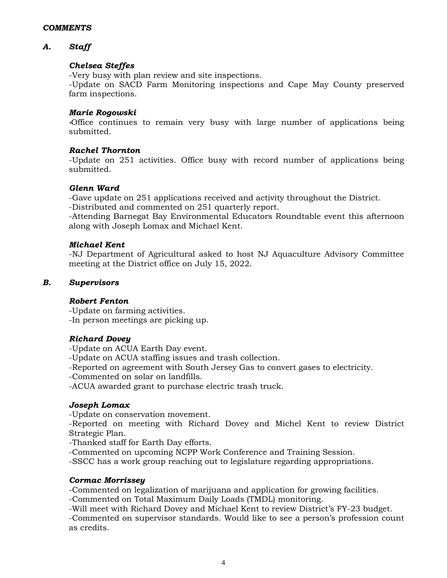# *A. Staff*

# *Chelsea Steffes*

-Very busy with plan review and site inspections.

-Update on SACD Farm Monitoring inspections and Cape May County preserved farm inspections.

## *Marie Rogowski*

*-*Office continues to remain very busy with large number of applications being submitted.

#### *Rachel Thornton*

-Update on 251 activities. Office busy with record number of applications being submitted.

#### *Glenn Ward*

-Gave update on 251 applications received and activity throughout the District.

-Distributed and commented on 251 quarterly report.

-Attending Barnegat Bay Environmental Educators Roundtable event this afternoon along with Joseph Lomax and Michael Kent.

#### *Michael Kent*

-NJ Department of Agricultural asked to host NJ Aquaculture Advisory Committee meeting at the District office on July 15, 2022.

#### *B. Supervisors*

# *Robert Fenton*

-Update on farming activities. -In person meetings are picking up.

# *Richard Dovey*

-Update on ACUA Earth Day event.

-Update on ACUA staffing issues and trash collection.

-Reported on agreement with South Jersey Gas to convert gases to electricity.

-Commented on solar on landfills.

-ACUA awarded grant to purchase electric trash truck.

# *Joseph Lomax*

-Update on conservation movement.

-Reported on meeting with Richard Dovey and Michel Kent to review District Strategic Plan.

-Thanked staff for Earth Day efforts.

-Commented on upcoming NCPP Work Conference and Training Session.

-SSCC has a work group reaching out to legislature regarding appropriations.

#### *Cormac Morrissey*

-Commented on legalization of marijuana and application for growing facilities.

-Commented on Total Maximum Daily Loads (TMDL) monitoring.

-Will meet with Richard Dovey and Michael Kent to review District's FY-23 budget. -Commented on supervisor standards. Would like to see a person's profession count as credits.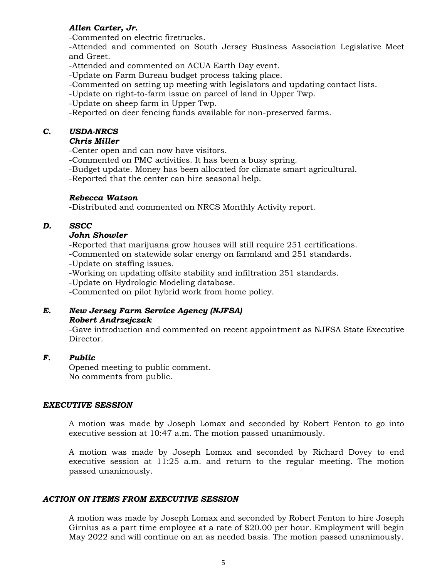# *Allen Carter, Jr.*

-Commented on electric firetrucks.

-Attended and commented on South Jersey Business Association Legislative Meet and Greet.

-Attended and commented on ACUA Earth Day event.

-Update on Farm Bureau budget process taking place.

-Commented on setting up meeting with legislators and updating contact lists.

-Update on right-to-farm issue on parcel of land in Upper Twp.

-Update on sheep farm in Upper Twp.

-Reported on deer fencing funds available for non-preserved farms.

# *C. USDA-NRCS*

# *Chris Miller*

-Center open and can now have visitors.

- -Commented on PMC activities. It has been a busy spring.
- -Budget update. Money has been allocated for climate smart agricultural.
- -Reported that the center can hire seasonal help.

# *Rebecca Watson*

-Distributed and commented on NRCS Monthly Activity report.

# *D. SSCC*

#### *John Showler*

-Reported that marijuana grow houses will still require 251 certifications.

-Commented on statewide solar energy on farmland and 251 standards.

-Update on staffing issues.

-Working on updating offsite stability and infiltration 251 standards.

-Update on Hydrologic Modeling database.

-Commented on pilot hybrid work from home policy.

# *E. New Jersey Farm Service Agency (NJFSA) Robert Andrzejczak*

-Gave introduction and commented on recent appointment as NJFSA State Executive Director.

# *F. Public*

Opened meeting to public comment. No comments from public.

#### *EXECUTIVE SESSION*

A motion was made by Joseph Lomax and seconded by Robert Fenton to go into executive session at 10:47 a.m. The motion passed unanimously.

A motion was made by Joseph Lomax and seconded by Richard Dovey to end executive session at 11:25 a.m. and return to the regular meeting. The motion passed unanimously.

# *ACTION ON ITEMS FROM EXECUTIVE SESSION*

A motion was made by Joseph Lomax and seconded by Robert Fenton to hire Joseph Girnius as a part time employee at a rate of \$20.00 per hour. Employment will begin May 2022 and will continue on an as needed basis. The motion passed unanimously.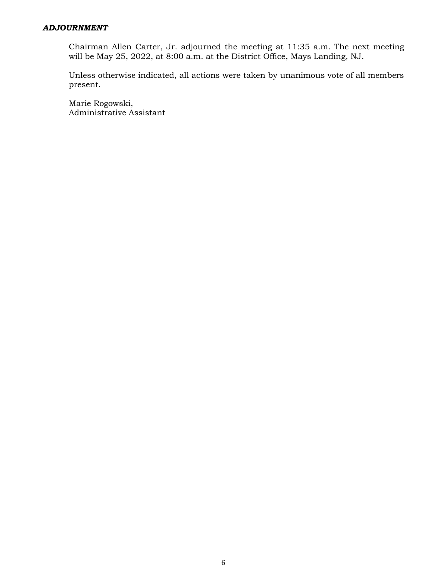#### *ADJOURNMENT*

Chairman Allen Carter, Jr. adjourned the meeting at 11:35 a.m. The next meeting will be May 25, 2022, at 8:00 a.m. at the District Office, Mays Landing, NJ.

Unless otherwise indicated, all actions were taken by unanimous vote of all members present.

Marie Rogowski, Administrative Assistant